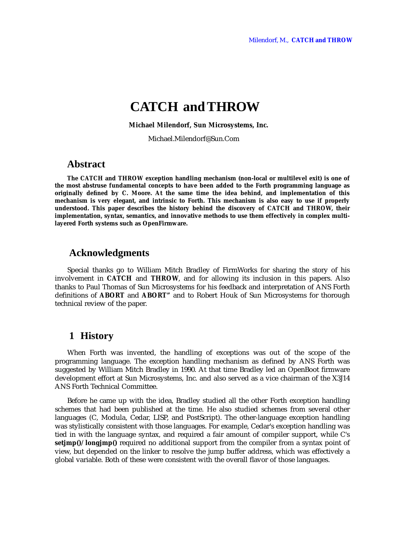# **CATCH and THROW**

 **Michael Milendorf, Sun Microsystems, Inc.**

Michael.Milendorf@Sun.Com

### **Abstract**

**The CATCH and THROW exception handling mechanism (non-local or multilevel exit) is one of the most abstruse fundamental concepts to have been added to the Forth programming language as originally defined by C. Moore. At the same time the idea behind, and implementation of this mechanism is very elegant, and intrinsic to Forth. This mechanism is also easy to use if properly understood. This paper describes the history behind the discovery of CATCH and THROW, their implementation, syntax, semantics, and innovative methods to use them effectively in complex multilayered Forth systems such as OpenFirmware.**

# **Acknowledgments**

Special thanks go to William Mitch Bradley of FirmWorks for sharing the story of his involvement in **CATCH** and **THROW**, and for allowing its inclusion in this papers. Also thanks to Paul Thomas of Sun Microsystems for his feedback and interpretation of ANS Forth definitions of **ABORT** and **ABORT"** and to Robert Houk of Sun Microsystems for thorough technical review of the paper.

# **1 History**

When Forth was invented, the handling of exceptions was out of the scope of the programming language. The exception handling mechanism as defined by ANS Forth was suggested by William Mitch Bradley in 1990. At that time Bradley led an OpenBoot firmware development effort at Sun Microsystems, Inc. and also served as a vice chairman of the X3J14 ANS Forth Technical Committee.

Before he came up with the idea, Bradley studied all the other Forth exception handling schemes that had been published at the time. He also studied schemes from several other languages (C, Modula, Cedar, LISP, and PostScript). The other-language exception handling was stylistically consistent with those languages. For example, Cedar's exception handling was tied in with the language syntax, and required a fair amount of compiler support, while C's **setjmp()**/**longjmp()** required no additional support from the compiler from a syntax point of view, but depended on the linker to resolve the jump buffer address, which was effectively a global variable. Both of these were consistent with the overall flavor of those languages.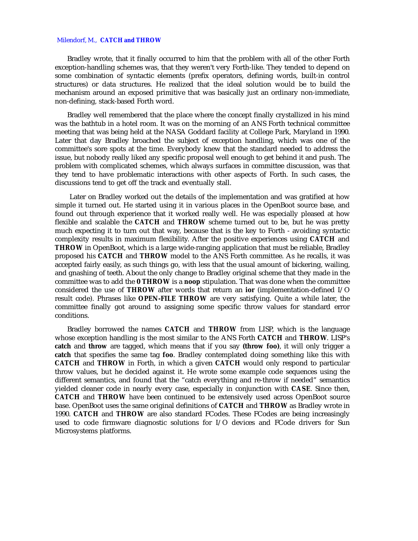#### Milendorf, M., **CATCH and THROW**

Bradley wrote, that it finally occurred to him that the problem with all of the other Forth exception-handling schemes was, that they weren't very Forth-like. They tended to depend on some combination of syntactic elements (prefix operators, defining words, built-in control structures) or data structures. He realized that the ideal solution would be to build the mechanism around an exposed primitive that was basically just an ordinary non-immediate, non-defining, stack-based Forth word.

Bradley well remembered that the place where the concept finally crystallized in his mind was the bathtub in a hotel room. It was on the morning of an ANS Forth technical committee meeting that was being held at the NASA Goddard facility at College Park, Maryland in 1990. Later that day Bradley broached the subject of exception handling, which was one of the committee's sore spots at the time. Everybody knew that the standard needed to address the issue, but nobody really liked any specific proposal well enough to get behind it and push. The problem with complicated schemes, which always surfaces in committee discussion, was that they tend to have problematic interactions with other aspects of Forth. In such cases, the discussions tend to get off the track and eventually stall.

 Later on Bradley worked out the details of the implementation and was gratified at how simple it turned out. He started using it in various places in the OpenBoot source base, and found out through experience that it worked really well. He was especially pleased at how flexible and scalable the **CATCH** and **THROW** scheme turned out to be, but he was pretty much expecting it to turn out that way, because that is the key to Forth - avoiding syntactic complexity results in maximum flexibility. After the positive experiences using **CATCH** and **THROW** in OpenBoot, which is a large wide-ranging application that must be reliable, Bradley proposed his **CATCH** and **THROW** model to the ANS Forth committee. As he recalls, it was accepted fairly easily, as such things go, with less that the usual amount of bickering, wailing, and gnashing of teeth. About the only change to Bradley original scheme that they made in the committee was to add the **0 THROW** is a **noop** stipulation. That was done when the committee considered the use of **THROW** after words that return an **ior** (implementation-defined I/O result code). Phrases like **OPEN-FILE THROW** are very satisfying. Quite a while later, the committee finally got around to assigning some specific throw values for standard error conditions.

Bradley borrowed the names **CATCH** and **THROW** from LISP, which is the language whose exception handling is the most similar to the ANS Forth **CATCH** and **THROW**. LISP's **catch** and **throw** are tagged, which means that if you say **(throw foo)**, it will only trigger a **catch** that specifies the same tag **foo**. Bradley contemplated doing something like this with **CATCH** and **THROW** in Forth, in which a given **CATCH** would only respond to particular throw values, but he decided against it. He wrote some example code sequences using the different semantics, and found that the "catch everything and re-throw if needed" semantics yielded cleaner code in nearly every case, especially in conjunction with **CASE**. Since then, **CATCH** and **THROW** have been continued to be extensively used across OpenBoot source base. OpenBoot uses the same original definitions of **CATCH** and **THROW** as Bradley wrote in 1990. **CATCH** and **THROW** are also standard FCodes. These FCodes are being increasingly used to code firmware diagnostic solutions for I/O devices and FCode drivers for Sun Microsystems platforms.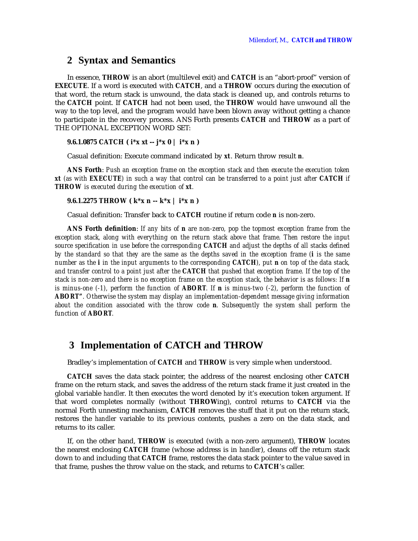### **2 Syntax and Semantics**

In essence, **THROW** is an abort (multilevel exit) and **CATCH** is an "abort-proof" version of **EXECUTE**. If a word is executed with **CATCH**, and a **THROW** occurs during the execution of that word, the return stack is unwound, the data stack is cleaned up, and controls returns to the **CATCH** point. If **CATCH** had not been used, the **THROW** would have unwound all the way to the top level, and the program would have been blown away without getting a chance to participate in the recovery process. ANS Forth presents **CATCH** and **THROW** as a part of THE OPTIONAL EXCEPTION WORD SET:

#### **9.6.1.0875 CATCH ( i\*x xt -- j\*x 0 | i\*x n )**

Casual definition: Execute command indicated by *xt*. Return throw result *n*.

**ANS Forth**: *Push an exception frame on the exception stack and then execute the execution token xt (as with EXECUTE) in such a way that control can be transferred to a point just after CATCH if THROW is executed during the execution of xt.*

**9.6.1.2275 THROW ( k\*x n -- k\*x | i\*x n )**

Casual definition: Transfer back to **CATCH** routine if return code *n* is non-zero.

**ANS Forth definition**: *If any bits of n are non-zero, pop the topmost exception frame from the exception stack, along with everything on the return stack above that frame. Then restore the input source specification in use before the corresponding CATCH and adjust the depths of all stacks defined by the standard so that they are the same as the depths saved in the exception frame (i is the same number as the i in the input arguments to the corresponding CATCH), put n on top of the data stack, and transfer control to a point just after the CATCH that pushed that exception frame. If the top of the stack is non-zero and there is no exception frame on the exception stack, the behavior is as follows: If n is minus-one (-1), perform the function of ABORT. If n is minus-two (-2), perform the function of ABORT". Otherwise the system may display an implementation-dependent message giving information about the condition associated with the throw code n. Subsequently the system shall perform the function of ABORT.*

# **3 Implementation of CATCH and THROW**

Bradley's implementation of **CATCH** and **THROW** is very simple when understood.

**CATCH** saves the data stack pointer, the address of the nearest enclosing other **CATCH** frame on the return stack, and saves the address of the return stack frame it just created in the global variable *handler*. It then executes the word denoted by it's execution token argument. If that word completes normally (without **THROW**ing), control returns to **CATCH** via the normal Forth unnesting mechanism, **CATCH** removes the stuff that it put on the return stack, restores the *handler* variable to its previous contents, pushes a zero on the data stack, and returns to its caller.

If, on the other hand, **THROW** is executed (with a non-zero argument), **THROW** locates the nearest enclosing **CATCH** frame (whose address is in *handler*), cleans off the return stack down to and including that **CATCH** frame, restores the data stack pointer to the value saved in that frame, pushes the throw value on the stack, and returns to **CATCH**'s caller.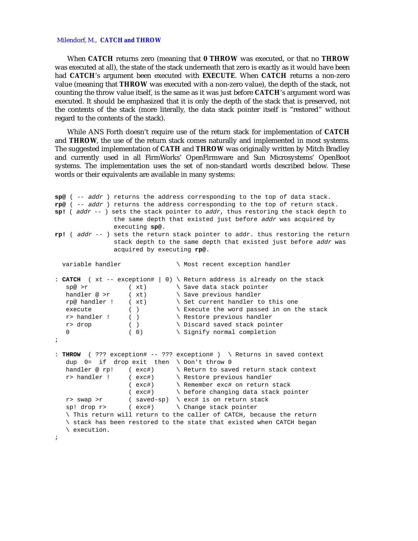#### Milendorf, M., **CATCH and THROW**

When **CATCH** returns zero (meaning that **0 THROW** was executed, or that no **THROW** was executed at all), the state of the stack underneath that zero is exactly as it would have been had **CATCH**'s argument been executed with **EXECUTE**. When **CATCH** returns a non-zero value (meaning that **THROW** was executed with a non-zero value), the depth of the stack, not counting the throw value itself, is the same as it was just before **CATCH**'s argument word was executed. It should be emphasized that it is only the depth of the stack that is preserved, not the contents of the stack (more literally, the data stack pointer itself is "restored" without regard to the contents of the stack).

While ANS Forth doesn't require use of the return stack for implementation of **CATCH** and **THROW**, the use of the return stack comes naturally and implemented in most systems. The suggested implementation of **CATH** and **THROW** was originally written by Mitch Bradley and currently used in all FirmWorks' OpenFirmware and Sun Microsystems' OpenBoot systems. The implementation uses the set of non-standard words described below. These words or their equivalents are available in many systems:

```
sp@ ( -- addr ) returns the address corresponding to the top of data stack.
rp@ ( -- addr ) returns the address corresponding to the top of return stack.
sp! ( addr -- ) sets the stack pointer to addr, thus restoring the stack depth to
                 the same depth that existed just before addr was acquired by
                 executing sp@.
rp! ( addr -- ) sets the return stack pointer to addr. thus restoring the return
                 stack depth to the same depth that existed just before addr was
                 acquired by executing rp@.
 variable handler \qquad \qquad \backslash Most recent exception handler
: CATCH ( xt -- exception# | 0) \ Return address is already on the stack
   sp@ >r (xt) \ Save data stack pointer
  handler \emptyset >r (xt) \setminus Save previous handler rp\emptyset handler ! (xt) \setminus Set current handler to
                   % ( xt) \setminus Set current handler to this one<br>( ) \setminus Execute the word passed in on the
  execute ( ) \& Execute the word passed in on the stack<br>
r > handler ( ) \& Restore previous handler<br>
r\ Restore previous handler
   r> drop ( ) \setminus Discard saved stack pointer 0 ( 0) \setminus Signify normal completion
   0 (0) \setminus Signify normal completion
;
: THROW ( ??? exception# -- ??? exception# ) \ Returns in saved context
    dup 0= if drop exit then \ Don't throw 0
   handler @ rp! (exc#) \ Return to saved return stack context
 r> handler ! ( exc#) \ Restore previous handler
 ( exc#) \ Remember exc# on return stack
 ( exc#) \ before changing data stack pointer
    r> swap >r ( saved-sp) \ exc# is on return stack
   sp! drop r> ( exc#) \ Change stack pointer
    \ This return will return to the caller of CATCH, because the return
    \ stack has been restored to the state that existed when CATCH began
    \ execution.
;
```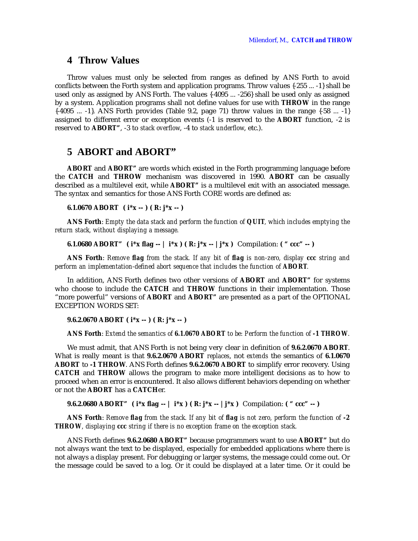### **4 Throw Values**

Throw values must only be selected from ranges as defined by ANS Forth to avoid conflicts between the Forth system and application programs. Throw values {-255 ... -1} shall be used only as assigned by ANS Forth. The values {-4095 ... -256} shall be used only as assigned by a system. Application programs shall not define values for use with **THROW** in the range  $\{-4095$  ...  $-1\}$ . ANS Forth provides (Table 9.2, page 71) throw values in the range  $\{-58$  ...  $-1\}$ assigned to different error or exception events (-1 is reserved to the **ABORT** function, -2 is reserved to **ABORT"**, -3 to *stack overflow*, -4 to *stack underflow*, etc.).

### **5 ABORT and ABORT"**

**ABORT** and **ABORT"** are words which existed in the Forth programming language before the **CATCH** and **THROW** mechanism was discovered in 1990. **ABORT** can be casually described as a multilevel exit, while **ABORT"** is a multilevel exit with an associated message. The syntax and semantics for those ANS Forth CORE words are defined as:

**6.1.0670 ABORT ( i\*x -- ) ( R: j\*x -- )**

**ANS Forth**: *Empty the data stack and perform the function of QUIT, which includes emptying the return stack, without displaying a message.*

**6.1.0680 ABORT" ( i\*x flag -- | i\*x ) ( R: j\*x -- |j\*x )** Compilation: **( " ccc" -- )**

**ANS Forth**: *Remove flag from the stack. If any bit of flag is non-zero, display ccc string and perform an implementation-defined abort sequence that includes the function of ABORT.*

In addition, ANS Forth defines two other versions of **ABORT** and **ABORT"** for systems who choose to include the **CATCH** and **THROW** functions in their implementation. Those "more powerful" versions of **ABORT** and **ABORT"** are presented as a part of the OPTIONAL EXCEPTION WORDS SET:

**9.6.2.0670 ABORT ( i\*x -- ) ( R: j\*x -- )**

**ANS Forth**: *Extend the semantics of 6.1.0670 ABORT to be: Perform the function of -1 THROW.*

We must admit, that ANS Forth is not being very clear in definition of **9.6.2.0670 ABORT**. What is really meant is that **9.6.2.0670 ABORT** *replaces*, not *extends* the semantics of **6.1.0670 ABORT** to **-1 THROW**. ANS Forth defines **9.6.2.0670 ABORT** to simplify error recovery. Using **CATCH** and **THROW** allows the program to make more intelligent decisions as to how to proceed when an error is encountered. It also allows different behaviors depending on whether or not the **ABORT** has a **CATCH**er.

**9.6.2.0680 ABORT" ( i\*x flag -- | i\*x ) ( R: j\*x -- |j\*x )** Compilation: **( " ccc" -- )**

**ANS Forth**: *Remove flag from the stack. If any bit of flag is not zero, perform the function of -2 THROW, displaying ccc string if there is no exception frame on the exception stack.*

ANS Forth defines **9.6.2.0680 ABORT"** because programmers want to use **ABORT"** but do not always want the text to be displayed, especially for embedded applications where there is not always a display present. For debugging or larger systems, the message could come out. Or the message could be saved to a log. Or it could be displayed at a later time. Or it could be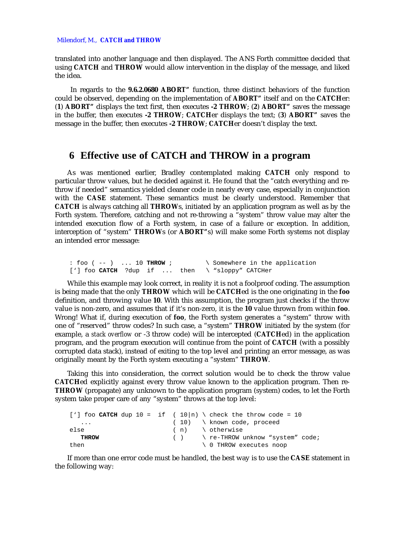#### Milendorf, M., **CATCH and THROW**

translated into another language and then displayed. The ANS Forth committee decided that using **CATCH** and **THROW** would allow intervention in the display of the message, and liked the idea.

 In regards to the **9.6.2.0680 ABORT"** function, three distinct behaviors of the function could be observed, depending on the implementation of **ABORT"** itself and on the **CATCH**er: (**1**) **ABORT"** displays the text first, then executes **-2 THROW**; (**2**) **ABORT"** saves the message in the buffer, then executes **-2 THROW**; **CATCH**er displays the text; (**3**) **ABORT"** saves the message in the buffer, then executes **-2 THROW**; **CATCH**er doesn't display the text.

# **6 Effective use of CATCH and THROW in a program**

As was mentioned earlier, Bradley contemplated making **CATCH** only respond to particular throw values, but he decided against it. He found that the "catch everything and rethrow if needed" semantics yielded cleaner code in nearly every case, especially in conjunction with the **CASE** statement. These semantics must be clearly understood. Remember that **CATCH** is always catching all **THROW**s, initiated by an application program as well as by the Forth system. Therefore, catching and not re-throwing a "system" throw value may alter the intended execution flow of a Forth system, in case of a failure or exception. In addition, interception of "system" **THROW**s (or **ABORT"**s) will make some Forth systems not display an intended error message:

 : foo ( -- ) ... 10 **THROW** ; \ Somewhere in the application ['] foo **CATCH** ?dup if ... then \ "sloppy" CATCHer

While this example may look correct, in reality it is not a foolproof coding. The assumption is being made that the only **THROW** which will be **CATCH**ed is the one originating in the **foo** definition, and throwing value **10**. With this assumption, the program just checks if the throw value is non-zero, and assumes that if it's non-zero, it is the **10** value thrown from within **foo**. Wrong! What if, during execution of **foo**, the Forth system generates a "system" throw with one of "reserved" throw codes? In such case, a "system" **THROW** initiated by the system (for example, a *stack overflow* or -3 throw code) will be intercepted (**CATCH**ed) in the application program, and the program execution will continue from the point of **CATCH** (with a possibly corrupted data stack), instead of exiting to the top level and printing an error message, as was originally meant by the Forth system executing a "system" **THROW**.

Taking this into consideration, the correct solution would be to check the throw value **CATCH**ed explicitly against every throw value known to the application program. Then re-**THROW** (propagate) any unknown to the application program (system) codes, to let the Forth system take proper care of any "system" throws at the top level:

|                         |  |  | ['] foo <b>CATCH</b> dup 10 = if ( $10 \mid n$ ) \ check the throw code = 10                                                                                                                                                                                                                                                              |
|-------------------------|--|--|-------------------------------------------------------------------------------------------------------------------------------------------------------------------------------------------------------------------------------------------------------------------------------------------------------------------------------------------|
| $\cdot$ $\cdot$ $\cdot$ |  |  | $(10)$ \ known code, proceed                                                                                                                                                                                                                                                                                                              |
| else                    |  |  | (n) \ otherwise                                                                                                                                                                                                                                                                                                                           |
| <b>THROW</b>            |  |  | $( )$ $\qquad$ $\qquad$ $\qquad$ $\qquad$ $\qquad$ $\qquad$ $\qquad$ $\qquad$ $\qquad$ $\qquad$ $\qquad$ $\qquad$ $\qquad$ $\qquad$ $\qquad$ $\qquad$ $\qquad$ $\qquad$ $\qquad$ $\qquad$ $\qquad$ $\qquad$ $\qquad$ $\qquad$ $\qquad$ $\qquad$ $\qquad$ $\qquad$ $\qquad$ $\qquad$ $\qquad$ $\qquad$ $\qquad$ $\qquad$ $\qquad$ $\qquad$ |
| then                    |  |  | 0 THROW executes noop                                                                                                                                                                                                                                                                                                                     |

If more than one error code must be handled, the best way is to use the **CASE** statement in the following way: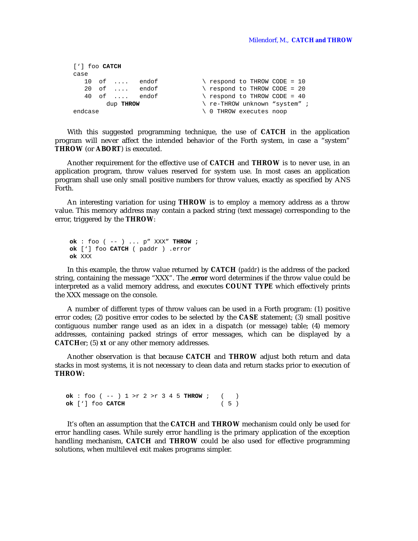```
 ['] foo CATCH
     case
10 of .... endof \searrow respond to THROW CODE = 10
 20 of .... endof \ respond to THROW CODE = 20
      40 of .... endof \setminus respond to THROW CODE = 40
           dup THROW \left\{ \begin{array}{c} \text{re-THEOW unknown} \\ \text{v} \end{array} \right.endcase \setminus 0 THROW executes noop
```
With this suggested programming technique, the use of **CATCH** in the application program will never affect the intended behavior of the Forth system, in case a "system" **THROW** (or **ABORT**) is executed.

Another requirement for the effective use of **CATCH** and **THROW** is to never use, in an application program, throw values reserved for system use. In most cases an application program shall use only small positive numbers for throw values, exactly as specified by ANS Forth.

An interesting variation for using **THROW** is to employ a memory address as a throw value. This memory address may contain a packed string (text message) corresponding to the error, triggered by the **THROW**:

**ok** : foo ( -- ) ... p" XXX" **THROW** ; **ok** ['] foo **CATCH** ( paddr ) .error **ok** XXX

In this example, the throw value returned by **CATCH** (*paddr*) is the address of the packed string, containing the message "XXX". The **.error** word determines if the throw value could be interpreted as a valid memory address, and executes **COUNT TYPE** which effectively prints the XXX message on the console.

A number of different *types* of throw values can be used in a Forth program: (1) positive error codes; (2) positive error codes to be selected by the **CASE** statement; (3) small positive contiguous number range used as an idex in a dispatch (or message) table; (4) memory addresses, containing packed strings of error messages, which can be displayed by a **CATCH**er; (5) *xt* or any other memory addresses.

Another observation is that because **CATCH** and **THROW** adjust both return and data stacks in most systems, it is not necessary to clean data and return stacks prior to execution of **THROW:**

**ok** : foo ( -- )  $1 > r$  2 >  $r$  3 4 5 **THROW** ; ( ) **ok** ['] foo **CATCH** ( 5 )

It's often an assumption that the **CATCH** and **THROW** mechanism could only be used for error handling cases. While surely error handling is the primary application of the exception handling mechanism, **CATCH** and **THROW** could be also used for effective programming solutions, when multilevel exit makes programs simpler.